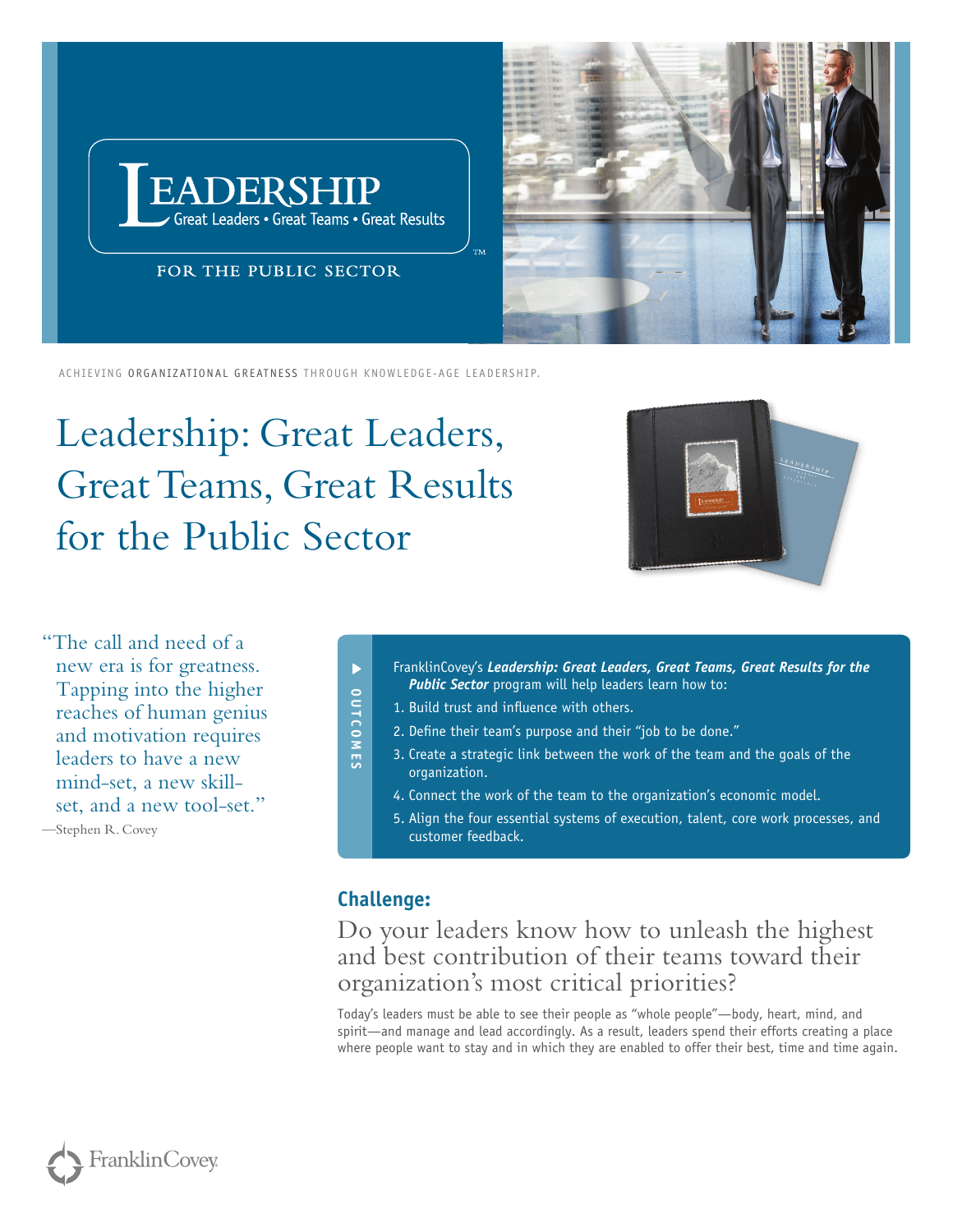



Achieving organizational Greatness through knowledge-age leadership.

Leadership: Great Leaders, Great Teams, Great Results for the Public Sector



"The call and need of a new era is for greatness. Tapping into the higher reaches of human genius and motivation requires leaders to have a new mind-set, a new skillset, and a new tool-set."

—Stephen R. Covey

- FranklinCovey's *Leadership: Great Leaders, Great Teams, Great Results for the Public Sector* program will help leaders learn how to:
- 1. Build trust and influence with others.
- 2. Define their team's purpose and their "job to be done."
	- 3. Create a strategic link between the work of the team and the goals of the organization.
	- 4. Connect the work of the team to the organization's economic model.
	- 5. Align the four essential systems of execution, talent, core work processes, and customer feedback.

## **Challenge:**

**OUTCOMES**

**OUTCOMES** 

 $\blacktriangleright$ 

Do your leaders know how to unleash the highest and best contribution of their teams toward their organization's most critical priorities?

Today's leaders must be able to see their people as "whole people"—body, heart, mind, and spirit—and manage and lead accordingly. As a result, leaders spend their efforts creating a place where people want to stay and in which they are enabled to offer their best, time and time again.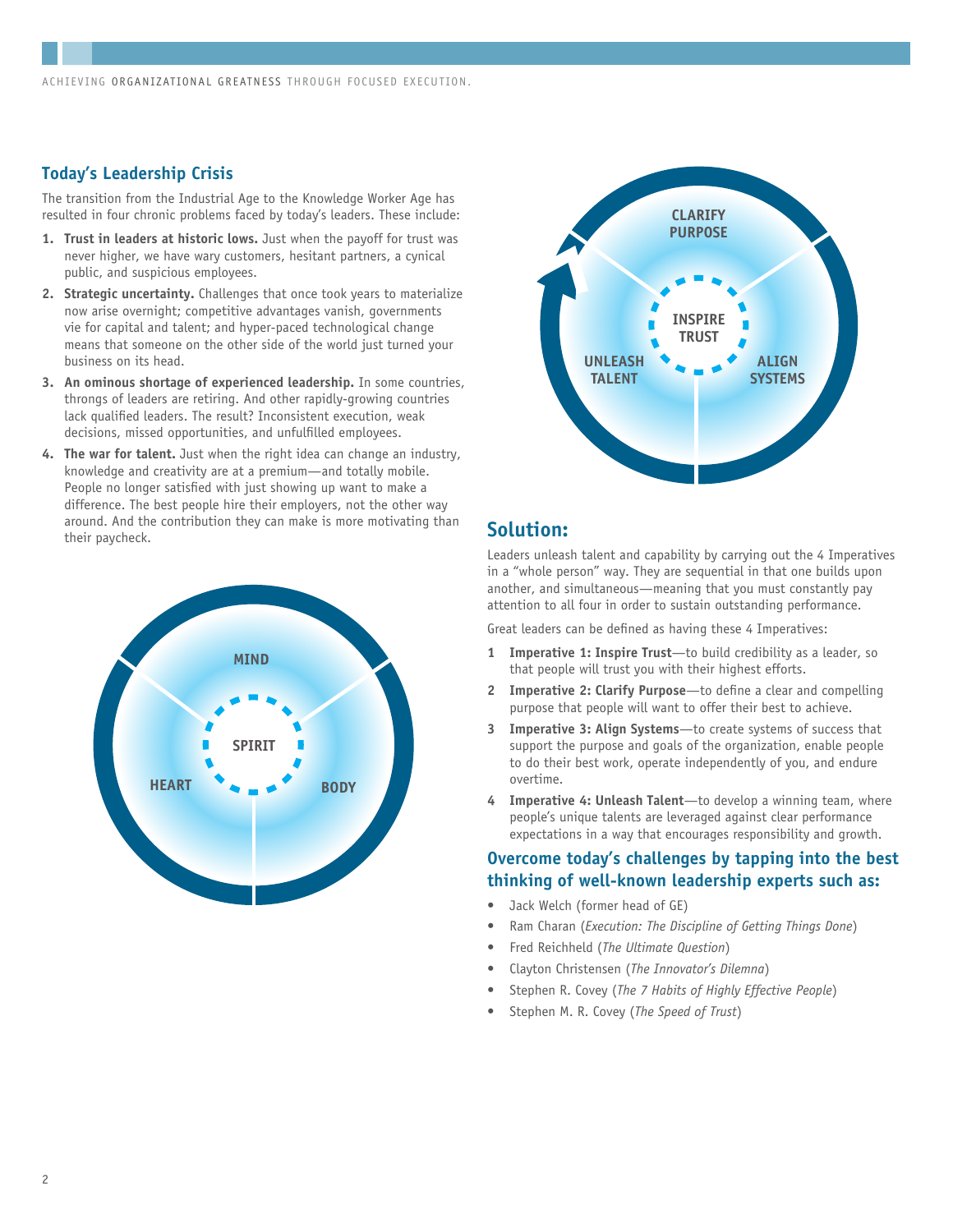#### **Today's Leadership Crisis**

The transition from the Industrial Age to the Knowledge Worker Age has resulted in four chronic problems faced by today's leaders. These include:

- **1. Trust in leaders at historic lows.** Just when the payoff for trust was never higher, we have wary customers, hesitant partners, a cynical public, and suspicious employees.
- **2. Strategic uncertainty.** Challenges that once took years to materialize now arise overnight; competitive advantages vanish, governments vie for capital and talent; and hyper-paced technological change means that someone on the other side of the world just turned your business on its head.
- **3. An ominous shortage of experienced leadership.** In some countries, throngs of leaders are retiring. And other rapidly-growing countries lack qualified leaders. The result? Inconsistent execution, weak decisions, missed opportunities, and unfulfilled employees.
- **4. The war for talent.** Just when the right idea can change an industry, knowledge and creativity are at a premium—and totally mobile. People no longer satisfied with just showing up want to make a difference. The best people hire their employers, not the other way around. And the contribution they can make is more motivating than their paycheck. **Solution:**





Leaders unleash talent and capability by carrying out the 4 Imperatives in a "whole person" way. They are sequential in that one builds upon another, and simultaneous—meaning that you must constantly pay attention to all four in order to sustain outstanding performance.

Great leaders can be defined as having these 4 Imperatives:

- **1 Imperative 1: Inspire Trust**—to build credibility as a leader, so that people will trust you with their highest efforts.
- **2 Imperative 2: Clarify Purpose**—to define a clear and compelling purpose that people will want to offer their best to achieve.
- **3 Imperative 3: Align Systems**—to create systems of success that support the purpose and goals of the organization, enable people to do their best work, operate independently of you, and endure overtime.
- **4 Imperative 4: Unleash Talent**—to develop a winning team, where people's unique talents are leveraged against clear performance expectations in a way that encourages responsibility and growth.

#### **Overcome today's challenges by tapping into the best thinking of well-known leadership experts such as:**

- Jack Welch (former head of GE)
- Ram Charan (*Execution: The Discipline of Getting Things Done*)
- Fred Reichheld (*The Ultimate Question*)
- Clayton Christensen (*The Innovator's Dilemna*)
- Stephen R. Covey (*The 7 Habits of Highly Effective People*)
- Stephen M. R. Covey (*The Speed of Trust*)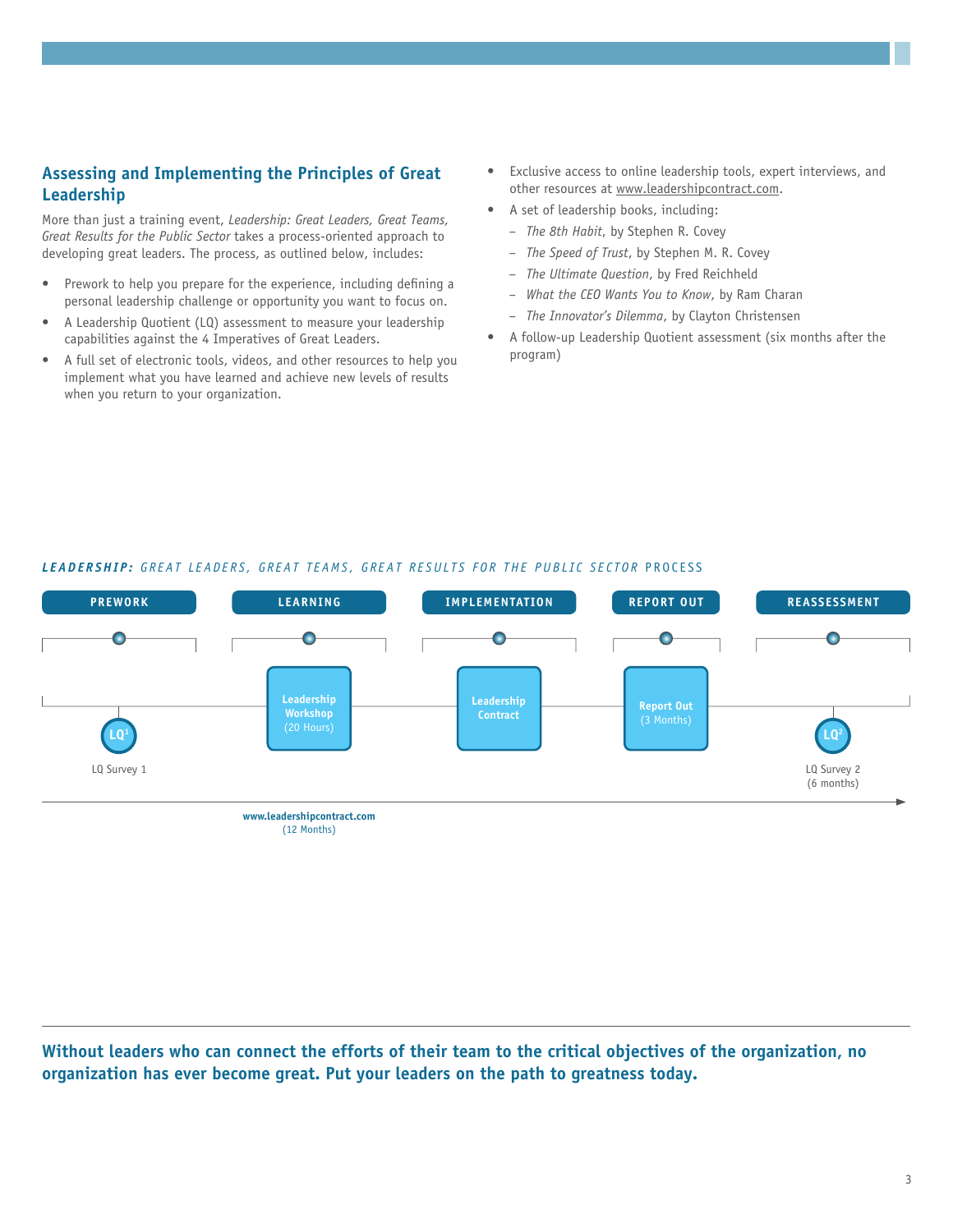## **Assessing and Implementing the Principles of Great Leadership**

More than just a training event, *Leadership: Great Leaders, Great Teams, Great Results for the Public Sector* takes a process-oriented approach to developing great leaders. The process, as outlined below, includes:

- Prework to help you prepare for the experience, including defining a personal leadership challenge or opportunity you want to focus on.
- A Leadership Quotient (LQ) assessment to measure your leadership capabilities against the 4 Imperatives of Great Leaders.
- A full set of electronic tools, videos, and other resources to help you implement what you have learned and achieve new levels of results when you return to your organization.
- • Exclusive access to online leadership tools, expert interviews, and other resources at www.leadershipcontract.com.
- A set of leadership books, including:
	- *The 8th Habit*, by Stephen R. Covey
	- *The Speed of Trust*, by Stephen M. R. Covey
	- *The Ultimate Question*, by Fred Reichheld
	- *What the CEO Wants You to Know*, by Ram Charan
	- *The Innovator's Dilemma*, by Clayton Christensen
- A follow-up Leadership Quotient assessment (six months after the program)



#### LEADERSHIP: GREAT LEADERS, GREAT TEAMS, GREAT RESULTS FOR THE PUBLIC SECTOR PROCESS

**Without leaders who can connect the efforts of their team to the critical objectives of the organization, no organization has ever become great. Put your leaders on the path to greatness today.**